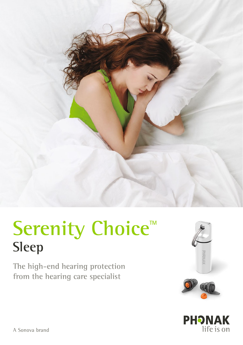

# Serenity Choice<sup>™</sup> **Sleep**

**The high-end hearing protection from the hearing care specialist**





A Sonova brand